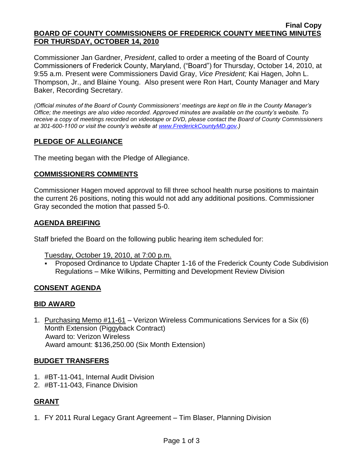#### **Final Copy BOARD OF COUNTY COMMISSIONERS OF FREDERICK COUNTY MEETING MINUTES FOR THURSDAY, OCTOBER 14, 2010**

Commissioner Jan Gardner, *President*, called to order a meeting of the Board of County Commissioners of Frederick County, Maryland, ("Board") for Thursday, October 14, 2010, at 9:55 a.m. Present were Commissioners David Gray, *Vice President;* Kai Hagen, John L. Thompson, Jr., and Blaine Young. Also present were Ron Hart, County Manager and Mary Baker, Recording Secretary.

*(Official minutes of the Board of County Commissioners' meetings are kept on file in the County Manager's Office; the meetings are also video recorded. Approved minutes are available on the county's website. To receive a copy of meetings recorded on videotape or DVD, please contact the Board of County Commissioners at 301-600-1100 or visit the county's website at [www.FrederickCountyMD.gov.](http://www.frederickcountymd.gov/))*

# **PLEDGE OF ALLEGIANCE**

The meeting began with the Pledge of Allegiance.

## **COMMISSIONERS COMMENTS**

Commissioner Hagen moved approval to fill three school health nurse positions to maintain the current 26 positions, noting this would not add any additional positions. Commissioner Gray seconded the motion that passed 5-0.

## **AGENDA BREIFING**

Staff briefed the Board on the following public hearing item scheduled for:

Tuesday, October 19, 2010, at 7:00 p.m.

 Proposed Ordinance to Update Chapter 1-16 of the Frederick County Code Subdivision Regulations – Mike Wilkins, Permitting and Development Review Division

## **CONSENT AGENDA**

## **BID AWARD**

1. Purchasing Memo #11-61 – Verizon Wireless Communications Services for a Six (6) Month Extension (Piggyback Contract) Award to: Verizon Wireless Award amount: \$136,250.00 (Six Month Extension)

## **BUDGET TRANSFERS**

- 1. #BT-11-041, Internal Audit Division
- 2. #BT-11-043, Finance Division

## **GRANT**

1. FY 2011 Rural Legacy Grant Agreement – Tim Blaser, Planning Division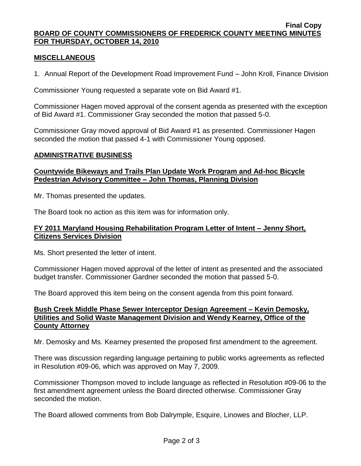#### **Final Copy BOARD OF COUNTY COMMISSIONERS OF FREDERICK COUNTY MEETING MINUTES FOR THURSDAY, OCTOBER 14, 2010**

## **MISCELLANEOUS**

1. Annual Report of the Development Road Improvement Fund – John Kroll, Finance Division

Commissioner Young requested a separate vote on Bid Award #1.

Commissioner Hagen moved approval of the consent agenda as presented with the exception of Bid Award #1. Commissioner Gray seconded the motion that passed 5-0.

Commissioner Gray moved approval of Bid Award #1 as presented. Commissioner Hagen seconded the motion that passed 4-1 with Commissioner Young opposed.

#### **ADMINISTRATIVE BUSINESS**

## **Countywide Bikeways and Trails Plan Update Work Program and Ad-hoc Bicycle Pedestrian Advisory Committee – John Thomas, Planning Division**

Mr. Thomas presented the updates.

The Board took no action as this item was for information only.

#### **FY 2011 Maryland Housing Rehabilitation Program Letter of Intent – Jenny Short, Citizens Services Division**

Ms. Short presented the letter of intent.

Commissioner Hagen moved approval of the letter of intent as presented and the associated budget transfer. Commissioner Gardner seconded the motion that passed 5-0.

The Board approved this item being on the consent agenda from this point forward.

## **Bush Creek Middle Phase Sewer Interceptor Design Agreement – Kevin Demosky, Utilities and Solid Waste Management Division and Wendy Kearney, Office of the County Attorney**

Mr. Demosky and Ms. Kearney presented the proposed first amendment to the agreement.

There was discussion regarding language pertaining to public works agreements as reflected in Resolution #09-06, which was approved on May 7, 2009.

Commissioner Thompson moved to include language as reflected in Resolution #09-06 to the first amendment agreement unless the Board directed otherwise. Commissioner Gray seconded the motion.

The Board allowed comments from Bob Dalrymple, Esquire, Linowes and Blocher, LLP.